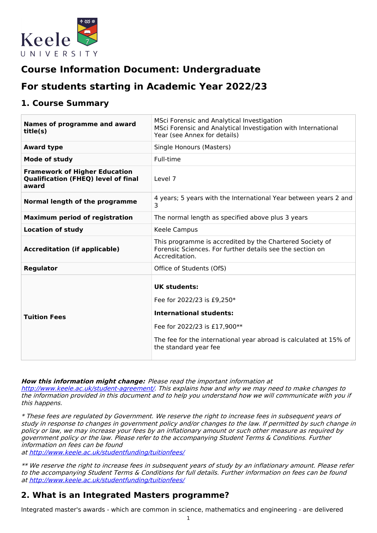

# **Course Information Document: Undergraduate**

# **For students starting in Academic Year 2022/23**

### **1. Course Summary**

| Names of programme and award<br>title(s)                                                    | MSci Forensic and Analytical Investigation<br>MSci Forensic and Analytical Investigation with International<br>Year (see Annex for details)                                                                       |
|---------------------------------------------------------------------------------------------|-------------------------------------------------------------------------------------------------------------------------------------------------------------------------------------------------------------------|
| <b>Award type</b>                                                                           | Single Honours (Masters)                                                                                                                                                                                          |
| <b>Mode of study</b>                                                                        | Full-time                                                                                                                                                                                                         |
| <b>Framework of Higher Education</b><br><b>Qualification (FHEQ) level of final</b><br>award | Level 7                                                                                                                                                                                                           |
| Normal length of the programme                                                              | 4 years; 5 years with the International Year between years 2 and<br>3                                                                                                                                             |
| <b>Maximum period of registration</b>                                                       | The normal length as specified above plus 3 years                                                                                                                                                                 |
| <b>Location of study</b>                                                                    | Keele Campus                                                                                                                                                                                                      |
| <b>Accreditation (if applicable)</b>                                                        | This programme is accredited by the Chartered Society of<br>Forensic Sciences. For further details see the section on<br>Accreditation.                                                                           |
| <b>Regulator</b>                                                                            | Office of Students (OfS)                                                                                                                                                                                          |
| <b>Tuition Fees</b>                                                                         | <b>UK students:</b><br>Fee for 2022/23 is £9,250*<br><b>International students:</b><br>Fee for 2022/23 is £17,900**<br>The fee for the international year abroad is calculated at 15% of<br>the standard year fee |

**How this information might change:** Please read the important information at

<http://www.keele.ac.uk/student-agreement/>. This explains how and why we may need to make changes to the information provided in this document and to help you understand how we will communicate with you if this happens.

\* These fees are regulated by Government. We reserve the right to increase fees in subsequent years of study in response to changes in government policy and/or changes to the law. If permitted by such change in policy or law, we may increase your fees by an inflationary amount or such other measure as required by government policy or the law. Please refer to the accompanying Student Terms & Conditions. Further information on fees can be found

at <http://www.keele.ac.uk/studentfunding/tuitionfees/>

\*\* We reserve the right to increase fees in subsequent years of study by an inflationary amount. Please refer to the accompanying Student Terms & Conditions for full details. Further information on fees can be found at <http://www.keele.ac.uk/studentfunding/tuitionfees/>

## **2. What is an Integrated Masters programme?**

Integrated master's awards - which are common in science, mathematics and engineering - are delivered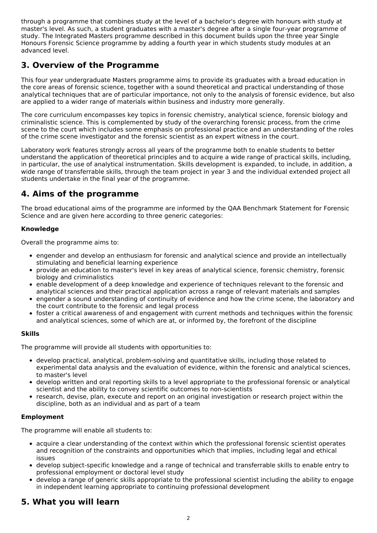through a programme that combines study at the level of a bachelor's degree with honours with study at master's level. As such, a student graduates with a master's degree after a single four-year programme of study. The Integrated Masters programme described in this document builds upon the three year Single Honours Forensic Science programme by adding a fourth year in which students study modules at an advanced level.

## **3. Overview of the Programme**

This four year undergraduate Masters programme aims to provide its graduates with a broad education in the core areas of forensic science, together with a sound theoretical and practical understanding of those analytical techniques that are of particular importance, not only to the analysis of forensic evidence, but also are applied to a wider range of materials within business and industry more generally.

The core curriculum encompasses key topics in forensic chemistry, analytical science, forensic biology and criminalistic science. This is complemented by study of the overarching forensic process, from the crime scene to the court which includes some emphasis on professional practice and an understanding of the roles of the crime scene investigator and the forensic scientist as an expert witness in the court.

Laboratory work features strongly across all years of the programme both to enable students to better understand the application of theoretical principles and to acquire a wide range of practical skills, including, in particular, the use of analytical instrumentation. Skills development is expanded, to include, in addition, a wide range of transferrable skills, through the team project in year 3 and the individual extended project all students undertake in the final year of the programme.

## **4. Aims of the programme**

The broad educational aims of the programme are informed by the QAA Benchmark Statement for Forensic Science and are given here according to three generic categories:

#### **Knowledge**

Overall the programme aims to:

- engender and develop an enthusiasm for forensic and analytical science and provide an intellectually stimulating and beneficial learning experience
- provide an education to master's level in key areas of analytical science, forensic chemistry, forensic biology and criminalistics
- enable development of a deep knowledge and experience of techniques relevant to the forensic and analytical sciences and their practical application across a range of relevant materials and samples
- engender a sound understanding of continuity of evidence and how the crime scene, the laboratory and the court contribute to the forensic and legal process
- foster a critical awareness of and engagement with current methods and techniques within the forensic and analytical sciences, some of which are at, or informed by, the forefront of the discipline

#### **Skills**

The programme will provide all students with opportunities to:

- develop practical, analytical, problem-solving and quantitative skills, including those related to experimental data analysis and the evaluation of evidence, within the forensic and analytical sciences, to master's level
- develop written and oral reporting skills to a level appropriate to the professional forensic or analytical scientist and the ability to convey scientific outcomes to non-scientists
- research, devise, plan, execute and report on an original investigation or research project within the discipline, both as an individual and as part of a team

#### **Employment**

The programme will enable all students to:

- acquire a clear understanding of the context within which the professional forensic scientist operates and recognition of the constraints and opportunities which that implies, including legal and ethical issues
- develop subject-specific knowledge and a range of technical and transferrable skills to enable entry to professional employment or doctoral level study
- develop a range of generic skills appropriate to the professional scientist including the ability to engage in independent learning appropriate to continuing professional development

## **5. What you will learn**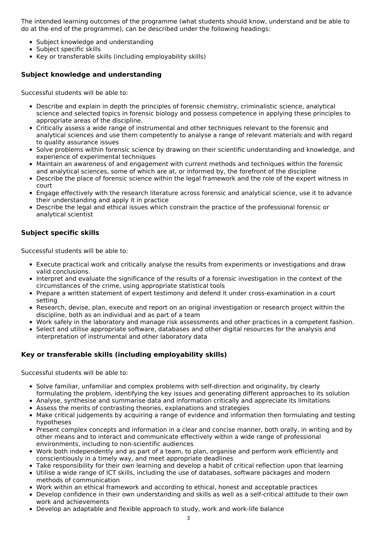The intended learning outcomes of the programme (what students should know, understand and be able to do at the end of the programme), can be described under the following headings:

- Subject knowledge and understanding
- Subject specific skills
- Key or transferable skills (including employability skills)

#### **Subject knowledge and understanding**

Successful students will be able to:

- Describe and explain in depth the principles of forensic chemistry, criminalistic science, analytical science and selected topics in forensic biology and possess competence in applying these principles to appropriate areas of the discipline.
- Critically assess a wide range of instrumental and other techniques relevant to the forensic and analytical sciences and use them competently to analyse a range of relevant materials and with regard to quality assurance issues
- Solve problems within forensic science by drawing on their scientific understanding and knowledge, and experience of experimental techniques
- Maintain an awareness of and engagement with current methods and techniques within the forensic and analytical sciences, some of which are at, or informed by, the forefront of the discipline
- Describe the place of forensic science within the legal framework and the role of the expert witness in court
- Engage effectively with the research literature across forensic and analytical science, use it to advance their understanding and apply it in practice
- Describe the legal and ethical issues which constrain the practice of the professional forensic or analytical scientist

### **Subject specific skills**

Successful students will be able to:

- Execute practical work and critically analyse the results from experiments or investigations and draw valid conclusions.
- Interpret and evaluate the significance of the results of a forensic investigation in the context of the circumstances of the crime, using appropriate statistical tools
- Prepare a written statement of expert testimony and defend it under cross-examination in a court setting
- Research, devise, plan, execute and report on an original investigation or research project within the discipline, both as an individual and as part of a team
- Work safely in the laboratory and manage risk assessments and other practices in a competent fashion.
- Select and utilise appropriate software, databases and other digital resources for the analysis and interpretation of instrumental and other laboratory data

### **Key or transferable skills (including employability skills)**

Successful students will be able to:

- Solve familiar, unfamiliar and complex problems with self-direction and originality, by clearly formulating the problem, identifying the key issues and generating different approaches to its solution
- Analyse, synthesise and summarise data and information critically and appreciate its limitations
- Assess the merits of contrasting theories, explanations and strategies
- Make critical judgements by acquiring a range of evidence and information then formulating and testing hypotheses
- Present complex concepts and information in a clear and concise manner, both orally, in writing and by other means and to interact and communicate effectively within a wide range of professional environments, including to non-scientific audiences
- Work both independently and as part of a team, to plan, organise and perform work efficiently and conscientiously in a timely way, and meet appropriate deadlines
- Take responsibility for their own learning and develop a habit of critical reflection upon that learning
- Utilise a wide range of ICT skills, including the use of databases, software packages and modern methods of communication
- Work within an ethical framework and according to ethical, honest and acceptable practices
- Develop confidence in their own understanding and skills as well as a self-critical attitude to their own work and achievements
- Develop an adaptable and flexible approach to study, work and work-life balance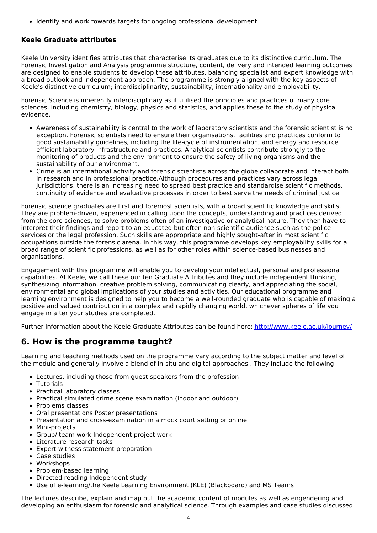• Identify and work towards targets for ongoing professional development

### **Keele Graduate attributes**

Keele University identifies attributes that characterise its graduates due to its distinctive curriculum. The Forensic Investigation and Analysis programme structure, content, delivery and intended learning outcomes are designed to enable students to develop these attributes, balancing specialist and expert knowledge with a broad outlook and independent approach. The programme is strongly aligned with the key aspects of Keele's distinctive curriculum; interdisciplinarity, sustainability, internationality and employability.

Forensic Science is inherently interdisciplinary as it utilised the principles and practices of many core sciences, including chemistry, biology, physics and statistics, and applies these to the study of physical evidence.

- Awareness of sustainability is central to the work of laboratory scientists and the forensic scientist is no exception. Forensic scientists need to ensure their organisations, facilities and practices conform to good sustainability guidelines, including the life-cycle of instrumentation, and energy and resource efficient laboratory infrastructure and practices. Analytical scientists contribute strongly to the monitoring of products and the environment to ensure the safety of living organisms and the sustainability of our environment.
- Crime is an international activity and forensic scientists across the globe collaborate and interact both in research and in professional practice.Although procedures and practices vary across legal jurisdictions, there is an increasing need to spread best practice and standardise scientific methods, continuity of evidence and evaluative processes in order to best serve the needs of criminal justice.

Forensic science graduates are first and foremost scientists, with a broad scientific knowledge and skills. They are problem-driven, experienced in calling upon the concepts, understanding and practices derived from the core sciences, to solve problems often of an investigative or analytical nature. They then have to interpret their findings and report to an educated but often non-scientific audience such as the police services or the legal profession. Such skills are appropriate and highly sought-after in most scientific occupations outside the forensic arena. In this way, this programme develops key employability skills for a broad range of scientific professions, as well as for other roles within science-based businesses and organisations.

Engagement with this programme will enable you to develop your intellectual, personal and professional capabilities. At Keele, we call these our ten Graduate Attributes and they include independent thinking, synthesizing information, creative problem solving, communicating clearly, and appreciating the social, environmental and global implications of your studies and activities. Our educational programme and learning environment is designed to help you to become a well-rounded graduate who is capable of making a positive and valued contribution in a complex and rapidly changing world, whichever spheres of life you engage in after your studies are completed.

Further information about the Keele Graduate Attributes can be found here: <http://www.keele.ac.uk/journey/>

## **6. How is the programme taught?**

Learning and teaching methods used on the programme vary according to the subject matter and level of the module and generally involve a blend of in-situ and digital approaches . They include the following:

- Lectures, including those from guest speakers from the profession
- Tutorials
- Practical laboratory classes
- Practical simulated crime scene examination (indoor and outdoor)
- Problems classes
- Oral presentations Poster presentations
- Presentation and cross-examination in a mock court setting or online
- Mini-projects
- Group/ team work Independent project work
- Literature research tasks
- Expert witness statement preparation
- Case studies
- Workshops
- Problem-based learning
- Directed reading Independent study
- Use of e-learning/the Keele Learning Environment (KLE) (Blackboard) and MS Teams

The lectures describe, explain and map out the academic content of modules as well as engendering and developing an enthusiasm for forensic and analytical science. Through examples and case studies discussed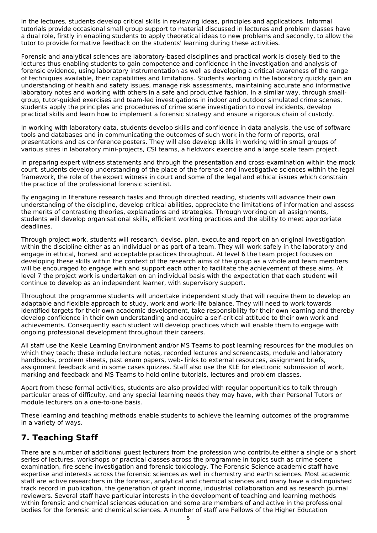in the lectures, students develop critical skills in reviewing ideas, principles and applications. Informal tutorials provide occasional small group support to material discussed in lectures and problem classes have a dual role, firstly in enabling students to apply theoretical ideas to new problems and secondly, to allow the tutor to provide formative feedback on the students' learning during these activities.

Forensic and analytical sciences are laboratory-based disciplines and practical work is closely tied to the lectures thus enabling students to gain competence and confidence in the investigation and analysis of forensic evidence, using laboratory instrumentation as well as developing a critical awareness of the range of techniques available, their capabilities and limitations. Students working in the laboratory quickly gain an understanding of health and safety issues, manage risk assessments, maintaining accurate and informative laboratory notes and working with others in a safe and productive fashion. In a similar way, through smallgroup, tutor-guided exercises and team-led investigations in indoor and outdoor simulated crime scenes, students apply the principles and procedures of crime scene investigation to novel incidents, develop practical skills and learn how to implement a forensic strategy and ensure a rigorous chain of custody.

In working with laboratory data, students develop skills and confidence in data analysis, the use of software tools and databases and in communicating the outcomes of such work in the form of reports, oral presentations and as conference posters. They will also develop skills in working within small groups of various sizes in laboratory mini-projects, CSI teams, a fieldwork exercise and a large scale team project.

In preparing expert witness statements and through the presentation and cross-examination within the mock court, students develop understanding of the place of the forensic and investigative sciences within the legal framework, the role of the expert witness in court and some of the legal and ethical issues which constrain the practice of the professional forensic scientist.

By engaging in literature research tasks and through directed reading, students will advance their own understanding of the discipline, develop critical abilities, appreciate the limitations of information and assess the merits of contrasting theories, explanations and strategies. Through working on all assignments, students will develop organisational skills, efficient working practices and the ability to meet appropriate deadlines.

Through project work, students will research, devise, plan, execute and report on an original investigation within the discipline either as an individual or as part of a team. They will work safely in the laboratory and engage in ethical, honest and acceptable practices throughout. At level 6 the team project focuses on developing these skills within the context of the research aims of the group as a whole and team members will be encouraged to engage with and support each other to facilitate the achievement of these aims. At level 7 the project work is undertaken on an individual basis with the expectation that each student will continue to develop as an independent learner, with supervisory support.

Throughout the programme students will undertake independent study that will require them to develop an adaptable and flexible approach to study, work and work-life balance. They will need to work towards identified targets for their own academic development, take responsibility for their own learning and thereby develop confidence in their own understanding and acquire a self-critical attitude to their own work and achievements. Consequently each student will develop practices which will enable them to engage with ongoing professional development throughout their careers.

All staff use the Keele Learning Environment and/or MS Teams to post learning resources for the modules on which they teach; these include lecture notes, recorded lectures and screencasts, module and laboratory handbooks, problem sheets, past exam papers, web- links to external resources, assignment briefs, assignment feedback and in some cases quizzes. Staff also use the KLE for electronic submission of work, marking and feedback and MS Teams to hold online tutorials, lectures and problem classes.

Apart from these formal activities, students are also provided with regular opportunities to talk through particular areas of difficulty, and any special learning needs they may have, with their Personal Tutors or module lecturers on a one-to-one basis.

These learning and teaching methods enable students to achieve the learning outcomes of the programme in a variety of ways.

## **7. Teaching Staff**

There are a number of additional guest lecturers from the profession who contribute either a single or a short series of lectures, workshops or practical classes across the programme in topics such as crime scene examination, fire scene investigation and forensic toxicology. The Forensic Science academic staff have expertise and interests across the forensic sciences as well in chemistry and earth sciences. Most academic staff are active researchers in the forensic, analytical and chemical sciences and many have a distinguished track record in publication, the generation of grant income, industrial collaboration and as research journal reviewers. Several staff have particular interests in the development of teaching and learning methods within forensic and chemical sciences education and some are members of and active in the professional bodies for the forensic and chemical sciences. A number of staff are Fellows of the Higher Education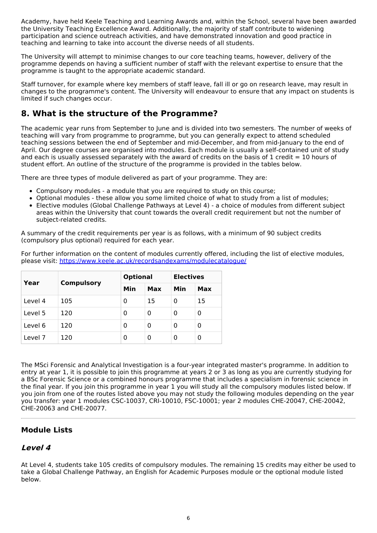Academy, have held Keele Teaching and Learning Awards and, within the School, several have been awarded the University Teaching Excellence Award. Additionally, the majority of staff contribute to widening participation and science outreach activities, and have demonstrated innovation and good practice in teaching and learning to take into account the diverse needs of all students.

The University will attempt to minimise changes to our core teaching teams, however, delivery of the programme depends on having a sufficient number of staff with the relevant expertise to ensure that the programme is taught to the appropriate academic standard.

Staff turnover, for example where key members of staff leave, fall ill or go on research leave, may result in changes to the programme's content. The University will endeavour to ensure that any impact on students is limited if such changes occur.

## **8. What is the structure of the Programme?**

The academic year runs from September to June and is divided into two semesters. The number of weeks of teaching will vary from programme to programme, but you can generally expect to attend scheduled teaching sessions between the end of September and mid-December, and from mid-January to the end of April. Our degree courses are organised into modules. Each module is usually a self-contained unit of study and each is usually assessed separately with the award of credits on the basis of 1 credit = 10 hours of student effort. An outline of the structure of the programme is provided in the tables below.

There are three types of module delivered as part of your programme. They are:

- Compulsory modules a module that you are required to study on this course;
- Optional modules these allow you some limited choice of what to study from a list of modules;
- Elective modules (Global Challenge Pathways at Level 4) a choice of modules from different subject areas within the University that count towards the overall credit requirement but not the number of subject-related credits.

A summary of the credit requirements per year is as follows, with a minimum of 90 subject credits (compulsory plus optional) required for each year.

For further information on the content of modules currently offered, including the list of elective modules, please visit: <https://www.keele.ac.uk/recordsandexams/modulecatalogue/>

| Year    | <b>Compulsory</b> | <b>Optional</b> |     | <b>Electives</b> |     |
|---------|-------------------|-----------------|-----|------------------|-----|
|         |                   | Min             | Max | Min              | Max |
| Level 4 | 105               | 0               | 15  | 0                | 15  |
| Level 5 | 120               | 0               | 0   | 0                | 0   |
| Level 6 | 120               | 0               | 0   | 0                | 0   |
| Level 7 | 120               | 0               | 0   | 0                | 0   |

The MSci Forensic and Analytical Investigation is a four-year integrated master's programme. In addition to entry at year 1, it is possible to join this programme at years 2 or 3 as long as you are currently studying for a BSc Forensic Science or a combined honours programme that includes a specialism in forensic science in the final year. If you join this programme in year 1 you will study all the compulsory modules listed below. If you join from one of the routes listed above you may not study the following modules depending on the year you transfer: year 1 modules CSC-10037, CRI-10010, FSC-10001; year 2 modules CHE-20047, CHE-20042, CHE-20063 and CHE-20077.

### **Module Lists**

### **Level 4**

At Level 4, students take 105 credits of compulsory modules. The remaining 15 credits may either be used to take a Global Challenge Pathway, an English for Academic Purposes module or the optional module listed below.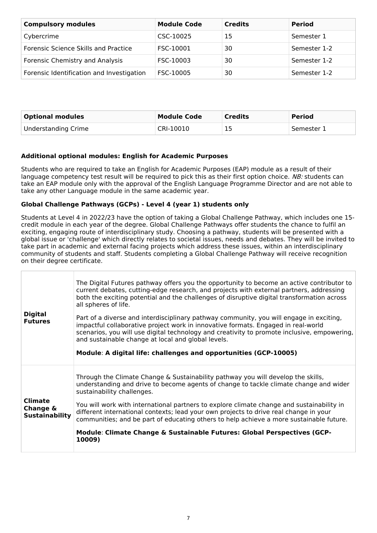| <b>Compulsory modules</b>                 | <b>Module Code</b> | <b>Credits</b> | <b>Period</b> |
|-------------------------------------------|--------------------|----------------|---------------|
| Cybercrime                                | CSC-10025          | 15             | Semester 1    |
| Forensic Science Skills and Practice      | FSC-10001          | 30             | Semester 1-2  |
| Forensic Chemistry and Analysis           | FSC-10003          | 30             | Semester 1-2  |
| Forensic Identification and Investigation | FSC-10005          | 30             | Semester 1-2  |

| <b>Optional modules</b> | <b>Module Code</b> | <b>Credits</b> | <b>Period</b> |
|-------------------------|--------------------|----------------|---------------|
| Understanding Crime     | CRI-10010          |                | Semester 1    |

#### **Additional optional modules: English for Academic Purposes**

Students who are required to take an English for Academic Purposes (EAP) module as a result of their language competency test result will be required to pick this as their first option choice. NB: students can take an EAP module only with the approval of the English Language Programme Director and are not able to take any other Language module in the same academic year.

#### **Global Challenge Pathways (GCPs) - Level 4 (year 1) students only**

Students at Level 4 in 2022/23 have the option of taking a Global Challenge Pathway, which includes one 15 credit module in each year of the degree. Global Challenge Pathways offer students the chance to fulfil an exciting, engaging route of interdisciplinary study. Choosing a pathway, students will be presented with a global issue or 'challenge' which directly relates to societal issues, needs and debates. They will be invited to take part in academic and external facing projects which address these issues, within an interdisciplinary community of students and staff. Students completing a Global Challenge Pathway will receive recognition on their degree certificate.

| <b>Digital</b><br><b>Futures</b>                    | The Digital Futures pathway offers you the opportunity to become an active contributor to<br>current debates, cutting-edge research, and projects with external partners, addressing<br>both the exciting potential and the challenges of disruptive digital transformation across<br>all spheres of life.<br>Part of a diverse and interdisciplinary pathway community, you will engage in exciting,<br>impactful collaborative project work in innovative formats. Engaged in real-world<br>scenarios, you will use digital technology and creativity to promote inclusive, empowering,<br>and sustainable change at local and global levels.<br>Module: A digital life: challenges and opportunities (GCP-10005) |
|-----------------------------------------------------|---------------------------------------------------------------------------------------------------------------------------------------------------------------------------------------------------------------------------------------------------------------------------------------------------------------------------------------------------------------------------------------------------------------------------------------------------------------------------------------------------------------------------------------------------------------------------------------------------------------------------------------------------------------------------------------------------------------------|
| <b>Climate</b><br>Change &<br><b>Sustainability</b> | Through the Climate Change & Sustainability pathway you will develop the skills,<br>understanding and drive to become agents of change to tackle climate change and wider<br>sustainability challenges.<br>You will work with international partners to explore climate change and sustainability in<br>different international contexts; lead your own projects to drive real change in your<br>communities; and be part of educating others to help achieve a more sustainable future.<br>Module: Climate Change & Sustainable Futures: Global Perspectives (GCP-<br>10009)                                                                                                                                       |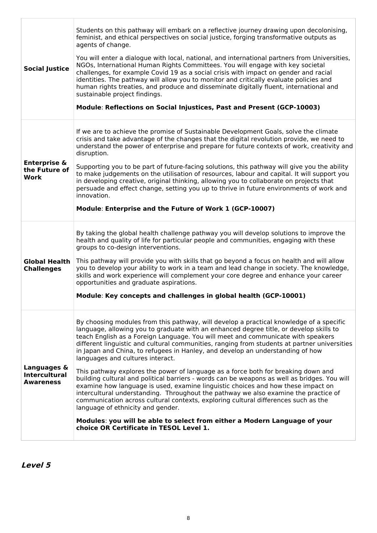| <b>Social Justice</b>                                   | Students on this pathway will embark on a reflective journey drawing upon decolonising,<br>feminist, and ethical perspectives on social justice, forging transformative outputs as<br>agents of change.<br>You will enter a dialogue with local, national, and international partners from Universities,<br>NGOs, International Human Rights Committees. You will engage with key societal<br>challenges, for example Covid 19 as a social crisis with impact on gender and racial<br>identities. The pathway will allow you to monitor and critically evaluate policies and<br>human rights treaties, and produce and disseminate digitally fluent, international and<br>sustainable project findings.<br>Module: Reflections on Social Injustices, Past and Present (GCP-10003)                                                                                                                                                                                                                                                                                                                              |
|---------------------------------------------------------|----------------------------------------------------------------------------------------------------------------------------------------------------------------------------------------------------------------------------------------------------------------------------------------------------------------------------------------------------------------------------------------------------------------------------------------------------------------------------------------------------------------------------------------------------------------------------------------------------------------------------------------------------------------------------------------------------------------------------------------------------------------------------------------------------------------------------------------------------------------------------------------------------------------------------------------------------------------------------------------------------------------------------------------------------------------------------------------------------------------|
| <b>Enterprise &amp;</b><br>the Future of<br>Work        | If we are to achieve the promise of Sustainable Development Goals, solve the climate<br>crisis and take advantage of the changes that the digital revolution provide, we need to<br>understand the power of enterprise and prepare for future contexts of work, creativity and<br>disruption.<br>Supporting you to be part of future-facing solutions, this pathway will give you the ability<br>to make judgements on the utilisation of resources, labour and capital. It will support you<br>in developing creative, original thinking, allowing you to collaborate on projects that<br>persuade and effect change, setting you up to thrive in future environments of work and<br>innovation.<br>Module: Enterprise and the Future of Work 1 (GCP-10007)                                                                                                                                                                                                                                                                                                                                                   |
| <b>Global Health</b><br><b>Challenges</b>               | By taking the global health challenge pathway you will develop solutions to improve the<br>health and quality of life for particular people and communities, engaging with these<br>groups to co-design interventions.<br>This pathway will provide you with skills that go beyond a focus on health and will allow<br>you to develop your ability to work in a team and lead change in society. The knowledge,<br>skills and work experience will complement your core degree and enhance your career<br>opportunities and graduate aspirations.<br>Module: Key concepts and challenges in global health (GCP-10001)                                                                                                                                                                                                                                                                                                                                                                                                                                                                                          |
| Languages &<br><b>Intercultural</b><br><b>Awareness</b> | By choosing modules from this pathway, will develop a practical knowledge of a specific<br>language, allowing you to graduate with an enhanced degree title, or develop skills to<br>teach English as a Foreign Language. You will meet and communicate with speakers<br>different linguistic and cultural communities, ranging from students at partner universities<br>in Japan and China, to refugees in Hanley, and develop an understanding of how<br>languages and cultures interact.<br>This pathway explores the power of language as a force both for breaking down and<br>building cultural and political barriers - words can be weapons as well as bridges. You will<br>examine how language is used, examine linguistic choices and how these impact on<br>intercultural understanding. Throughout the pathway we also examine the practice of<br>communication across cultural contexts, exploring cultural differences such as the<br>language of ethnicity and gender.<br>Modules: you will be able to select from either a Modern Language of your<br>choice OR Certificate in TESOL Level 1. |

**Level 5**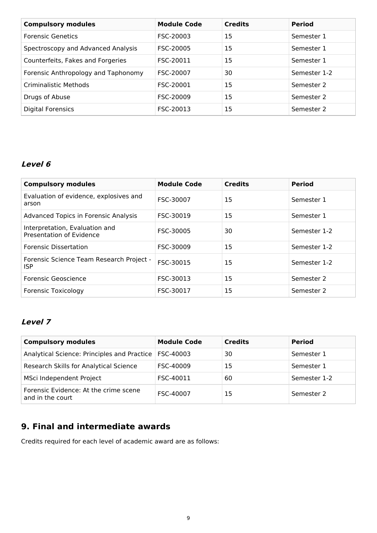| <b>Compulsory modules</b>           | <b>Module Code</b> | <b>Credits</b> | <b>Period</b> |
|-------------------------------------|--------------------|----------------|---------------|
| <b>Forensic Genetics</b>            | FSC-20003          | 15             | Semester 1    |
| Spectroscopy and Advanced Analysis  | FSC-20005          | 15             | Semester 1    |
| Counterfeits, Fakes and Forgeries   | FSC-20011          | 15             | Semester 1    |
| Forensic Anthropology and Taphonomy | FSC-20007          | 30             | Semester 1-2  |
| <b>Criminalistic Methods</b>        | FSC-20001          | 15             | Semester 2    |
| Drugs of Abuse                      | FSC-20009          | 15             | Semester 2    |
| <b>Digital Forensics</b>            | FSC-20013          | 15             | Semester 2    |

## **Level 6**

| <b>Compulsory modules</b>                                  | <b>Module Code</b> | <b>Credits</b> | <b>Period</b> |
|------------------------------------------------------------|--------------------|----------------|---------------|
| Evaluation of evidence, explosives and<br>arson            | FSC-30007          | 15             | Semester 1    |
| <b>Advanced Topics in Forensic Analysis</b>                | FSC-30019          | 15             | Semester 1    |
| Interpretation, Evaluation and<br>Presentation of Evidence | FSC-30005          | 30             | Semester 1-2  |
| <b>Forensic Dissertation</b>                               | FSC-30009          | 15             | Semester 1-2  |
| Forensic Science Team Research Project -<br>ISP            | FSC-30015          | 15             | Semester 1-2  |
| Forensic Geoscience                                        | FSC-30013          | 15             | Semester 2    |
| <b>Forensic Toxicology</b>                                 | FSC-30017          | 15             | Semester 2    |

## **Level 7**

| <b>Compulsory modules</b>                                 | <b>Module Code</b> | <b>Credits</b> | <b>Period</b> |
|-----------------------------------------------------------|--------------------|----------------|---------------|
| Analytical Science: Principles and Practice   FSC-40003   |                    | 30             | Semester 1    |
| Research Skills for Analytical Science                    | FSC-40009          | 15             | Semester 1    |
| MSci Independent Project                                  | FSC-40011          | 60             | Semester 1-2  |
| Forensic Evidence: At the crime scene<br>and in the court | FSC-40007          | 15             | Semester 2    |

## **9. Final and intermediate awards**

Credits required for each level of academic award are as follows: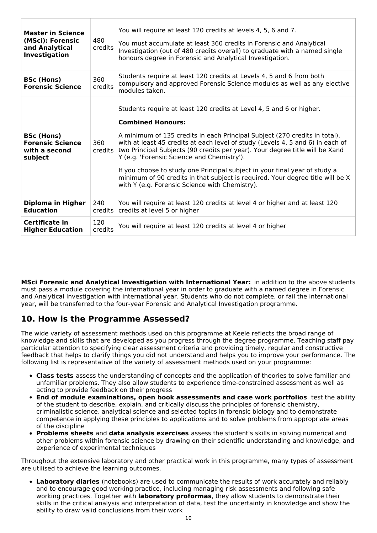| <b>Master in Science</b><br>(MSci): Forensic<br>and Analytical<br>Investigation | 480<br>credits | You will require at least 120 credits at levels 4, 5, 6 and 7.<br>You must accumulate at least 360 credits in Forensic and Analytical<br>Investigation (out of 480 credits overall) to graduate with a named single<br>honours degree in Forensic and Analytical Investigation.                                                                                                                                                                                                                                                                                                                                  |
|---------------------------------------------------------------------------------|----------------|------------------------------------------------------------------------------------------------------------------------------------------------------------------------------------------------------------------------------------------------------------------------------------------------------------------------------------------------------------------------------------------------------------------------------------------------------------------------------------------------------------------------------------------------------------------------------------------------------------------|
| <b>BSc (Hons)</b><br><b>Forensic Science</b>                                    | 360<br>credits | Students require at least 120 credits at Levels 4, 5 and 6 from both<br>compulsory and approved Forensic Science modules as well as any elective<br>modules taken.                                                                                                                                                                                                                                                                                                                                                                                                                                               |
| <b>BSc (Hons)</b><br><b>Forensic Science</b><br>with a second<br>subject        | 360<br>credits | Students require at least 120 credits at Level 4, 5 and 6 or higher.<br><b>Combined Honours:</b><br>A minimum of 135 credits in each Principal Subject (270 credits in total),<br>with at least 45 credits at each level of study (Levels 4, 5 and 6) in each of<br>two Principal Subjects (90 credits per year). Your degree title will be Xand<br>Y (e.g. 'Forensic Science and Chemistry').<br>If you choose to study one Principal subject in your final year of study a<br>minimum of 90 credits in that subject is required. Your degree title will be X<br>with Y (e.g. Forensic Science with Chemistry). |
| Diploma in Higher<br><b>Education</b>                                           | 240<br>credits | You will require at least 120 credits at level 4 or higher and at least 120<br>credits at level 5 or higher                                                                                                                                                                                                                                                                                                                                                                                                                                                                                                      |
| Certificate in<br><b>Higher Education</b>                                       | 120<br>credits | You will require at least 120 credits at level 4 or higher                                                                                                                                                                                                                                                                                                                                                                                                                                                                                                                                                       |

**MSci Forensic and Analytical Investigation with International Year:** in addition to the above students must pass a module covering the international year in order to graduate with a named degree in Forensic and Analytical Investigation with international year. Students who do not complete, or fail the international year, will be transferred to the four-year Forensic and Analytical Investigation programme.

## **10. How is the Programme Assessed?**

The wide variety of assessment methods used on this programme at Keele reflects the broad range of knowledge and skills that are developed as you progress through the degree programme. Teaching staff pay particular attention to specifying clear assessment criteria and providing timely, regular and constructive feedback that helps to clarify things you did not understand and helps you to improve your performance. The following list is representative of the variety of assessment methods used on your programme:

- **Class tests** assess the understanding of concepts and the application of theories to solve familiar and unfamiliar problems. They also allow students to experience time-constrained assessment as well as acting to provide feedback on their progress
- **End of module examinations, open book assessments and case work portfolios** test the ability of the student to describe, explain, and critically discuss the principles of forensic chemistry, criminalistic science, analytical science and selected topics in forensic biology and to demonstrate competence in applying these principles to applications and to solve problems from appropriate areas of the discipline
- **Problems sheets** and **data analysis exercises** assess the student's skills in solving numerical and other problems within forensic science by drawing on their scientific understanding and knowledge, and experience of experimental techniques

Throughout the extensive laboratory and other practical work in this programme, many types of assessment are utilised to achieve the learning outcomes.

**Laboratory diaries** (notebooks) are used to communicate the results of work accurately and reliably and to encourage good working practice, including managing risk assessments and following safe working practices. Together with **laboratory proformas**, they allow students to demonstrate their skills in the critical analysis and interpretation of data, test the uncertainty in knowledge and show the ability to draw valid conclusions from their work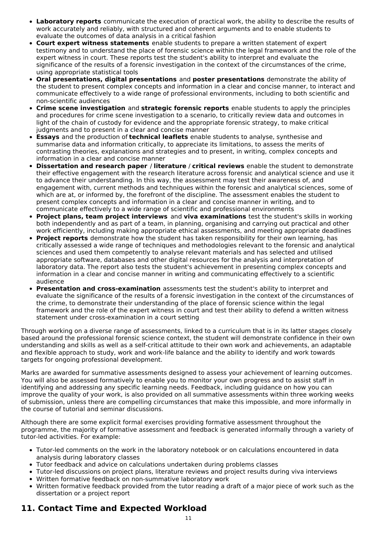- **Laboratory reports** communicate the execution of practical work, the ability to describe the results of work accurately and reliably, with structured and coherent arguments and to enable students to evaluate the outcomes of data analysis in a critical fashion
- **Court expert witness statements** enable students to prepare a written statement of expert testimony and to understand the place of forensic science within the legal framework and the role of the expert witness in court. These reports test the student's ability to interpret and evaluate the significance of the results of a forensic investigation in the context of the circumstances of the crime, using appropriate statistical tools
- **Oral presentations, digital presentations** and **poster presentations** demonstrate the ability of the student to present complex concepts and information in a clear and concise manner, to interact and communicate effectively to a wide range of professional environments, including to both scientific and non-scientific audiences
- **Crime scene investigation** and **strategic forensic reports** enable students to apply the principles and procedures for crime scene investigation to a scenario, to critically review data and outcomes in light of the chain of custody for evidence and the appropriate forensic strategy, to make critical judgments and to present in a clear and concise manner
- **Essays** and the production of **technical leaflets** enable students to analyse, synthesise and summarise data and information critically, to appreciate its limitations, to assess the merits of contrasting theories, explanations and strategies and to present, in writing, complex concepts and information in a clear and concise manner
- **Dissertation and research paper** / **literature** / **critical reviews** enable the student to demonstrate their effective engagement with the research literature across forensic and analytical science and use it to advance their understanding. In this way, the assessment may test their awareness of, and engagement with, current methods and techniques within the forensic and analytical sciences, some of which are at, or informed by, the forefront of the discipline. The assessment enables the student to present complex concepts and information in a clear and concise manner in writing, and to communicate effectively to a wide range of scientific and professional environments
- **Project plans, team project interviews** and **viva examinations** test the student's skills in working both independently and as part of a team, in planning, organising and carrying out practical and other work efficiently, including making appropriate ethical assessments, and meeting appropriate deadlines
- **Project reports** demonstrate how the student has taken responsibility for their own learning, has critically assessed a wide range of techniques and methodologies relevant to the forensic and analytical sciences and used them competently to analyse relevant materials and has selected and utilised appropriate software, databases and other digital resources for the analysis and interpretation of laboratory data. The report also tests the student's achievement in presenting complex concepts and information in a clear and concise manner in writing and communicating effectively to a scientific audience
- **Presentation and cross-examination** assessments test the student's ability to interpret and evaluate the significance of the results of a forensic investigation in the context of the circumstances of the crime, to demonstrate their understanding of the place of forensic science within the legal framework and the role of the expert witness in court and test their ability to defend a written witness statement under cross-examination in a court setting

Through working on a diverse range of assessments, linked to a curriculum that is in its latter stages closely based around the professional forensic science context, the student will demonstrate confidence in their own understanding and skills as well as a self-critical attitude to their own work and achievements, an adaptable and flexible approach to study, work and work-life balance and the ability to identify and work towards targets for ongoing professional development.

Marks are awarded for summative assessments designed to assess your achievement of learning outcomes. You will also be assessed formatively to enable you to monitor your own progress and to assist staff in identifying and addressing any specific learning needs. Feedback, including guidance on how you can improve the quality of your work, is also provided on all summative assessments within three working weeks of submission, unless there are compelling circumstances that make this impossible, and more informally in the course of tutorial and seminar discussions.

Although there are some explicit formal exercises providing formative assessment throughout the programme, the majority of formative assessment and feedback is generated informally through a variety of tutor-led activities. For example:

- Tutor-led comments on the work in the laboratory notebook or on calculations encountered in data analysis during laboratory classes
- Tutor feedback and advice on calculations undertaken during problems classes
- $\bullet$ Tutor-led discussions on project plans, literature reviews and project results during viva interviews
- Written formative feedback on non-summative laboratory work  $\bullet$
- $\bullet$ Written formative feedback provided from the tutor reading a draft of a major piece of work such as the dissertation or a project report

## **11. Contact Time and Expected Workload**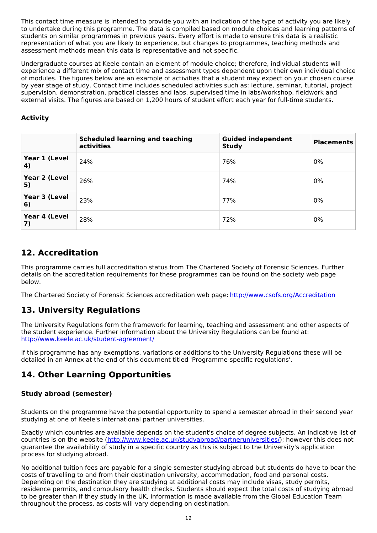This contact time measure is intended to provide you with an indication of the type of activity you are likely to undertake during this programme. The data is compiled based on module choices and learning patterns of students on similar programmes in previous years. Every effort is made to ensure this data is a realistic representation of what you are likely to experience, but changes to programmes, teaching methods and assessment methods mean this data is representative and not specific.

Undergraduate courses at Keele contain an element of module choice; therefore, individual students will experience a different mix of contact time and assessment types dependent upon their own individual choice of modules. The figures below are an example of activities that a student may expect on your chosen course by year stage of study. Contact time includes scheduled activities such as: lecture, seminar, tutorial, project supervision, demonstration, practical classes and labs, supervised time in labs/workshop, fieldwork and external visits. The figures are based on 1,200 hours of student effort each year for full-time students.

### **Activity**

|                     | <b>Scheduled learning and teaching</b><br>activities | <b>Guided independent</b><br><b>Study</b> | <b>Placements</b> |
|---------------------|------------------------------------------------------|-------------------------------------------|-------------------|
| Year 1 (Level<br>4) | 24%                                                  | 76%                                       | 0%                |
| Year 2 (Level<br>5) | 26%                                                  | 74%                                       | 0%                |
| Year 3 (Level<br>6) | 23%                                                  | 77%                                       | 0%                |
| Year 4 (Level<br>7) | 28%                                                  | 72%                                       | 0%                |

## **12. Accreditation**

This programme carries full accreditation status from The Chartered Society of Forensic Sciences. Further details on the accreditation requirements for these programmes can be found on the society web page below.

The Chartered Society of Forensic Sciences accreditation web page: <http://www.csofs.org/Accreditation>

## **13. University Regulations**

The University Regulations form the framework for learning, teaching and assessment and other aspects of the student experience. Further information about the University Regulations can be found at: <http://www.keele.ac.uk/student-agreement/>

If this programme has any exemptions, variations or additions to the University Regulations these will be detailed in an Annex at the end of this document titled 'Programme-specific regulations'.

## **14. Other Learning Opportunities**

### **Study abroad (semester)**

Students on the programme have the potential opportunity to spend a semester abroad in their second year studying at one of Keele's international partner universities.

Exactly which countries are available depends on the student's choice of degree subjects. An indicative list of countries is on the website (<http://www.keele.ac.uk/studyabroad/partneruniversities/>); however this does not guarantee the availability of study in a specific country as this is subject to the University's application process for studying abroad.

No additional tuition fees are payable for a single semester studying abroad but students do have to bear the costs of travelling to and from their destination university, accommodation, food and personal costs. Depending on the destination they are studying at additional costs may include visas, study permits, residence permits, and compulsory health checks. Students should expect the total costs of studying abroad to be greater than if they study in the UK, information is made available from the Global Education Team throughout the process, as costs will vary depending on destination.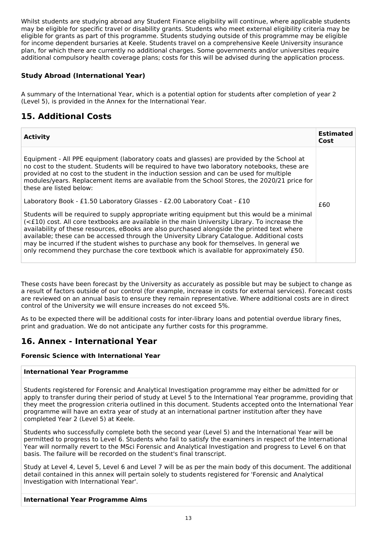Whilst students are studying abroad any Student Finance eligibility will continue, where applicable students may be eligible for specific travel or disability grants. Students who meet external eligibility criteria may be eligible for grants as part of this programme. Students studying outside of this programme may be eligible for income dependent bursaries at Keele. Students travel on a comprehensive Keele University insurance plan, for which there are currently no additional charges. Some governments and/or universities require additional compulsory health coverage plans; costs for this will be advised during the application process.

### **Study Abroad (International Year)**

A summary of the International Year, which is a potential option for students after completion of year 2 (Level 5), is provided in the Annex for the International Year.

## **15. Additional Costs**

| <b>Activity</b>                                                                                                                                                                                                                                                                                                                                                                                                                                                                                                                                                                      | <b>Estimated</b><br>Cost |
|--------------------------------------------------------------------------------------------------------------------------------------------------------------------------------------------------------------------------------------------------------------------------------------------------------------------------------------------------------------------------------------------------------------------------------------------------------------------------------------------------------------------------------------------------------------------------------------|--------------------------|
| Equipment - All PPE equipment (laboratory coats and glasses) are provided by the School at<br>no cost to the student. Students will be required to have two laboratory notebooks, these are<br>provided at no cost to the student in the induction session and can be used for multiple<br>modules/years. Replacement items are available from the School Stores, the 2020/21 price for<br>these are listed below:                                                                                                                                                                   |                          |
| Laboratory Book - £1.50 Laboratory Glasses - £2.00 Laboratory Coat - £10                                                                                                                                                                                                                                                                                                                                                                                                                                                                                                             | £60                      |
| Students will be required to supply appropriate writing equipment but this would be a minimal<br>(<£10) cost. All core textbooks are available in the main University Library. To increase the<br>availability of these resources, eBooks are also purchased alongside the printed text where<br>available; these can be accessed through the University Library Catalogue. Additional costs<br>may be incurred if the student wishes to purchase any book for themselves. In general we<br>only recommend they purchase the core textbook which is available for approximately £50. |                          |

These costs have been forecast by the University as accurately as possible but may be subject to change as a result of factors outside of our control (for example, increase in costs for external services). Forecast costs are reviewed on an annual basis to ensure they remain representative. Where additional costs are in direct control of the University we will ensure increases do not exceed 5%.

As to be expected there will be additional costs for inter-library loans and potential overdue library fines, print and graduation. We do not anticipate any further costs for this programme.

## **16. Annex - International Year**

#### **Forensic Science with International Year**

#### **International Year Programme**

Students registered for Forensic and Analytical Investigation programme may either be admitted for or apply to transfer during their period of study at Level 5 to the International Year programme, providing that they meet the progression criteria outlined in this document. Students accepted onto the International Year programme will have an extra year of study at an international partner institution after they have completed Year 2 (Level 5) at Keele.

Students who successfully complete both the second year (Level 5) and the International Year will be permitted to progress to Level 6. Students who fail to satisfy the examiners in respect of the International Year will normally revert to the MSci Forensic and Analytical Investigation and progress to Level 6 on that basis. The failure will be recorded on the student's final transcript.

Study at Level 4, Level 5, Level 6 and Level 7 will be as per the main body of this document. The additional detail contained in this annex will pertain solely to students registered for 'Forensic and Analytical Investigation with International Year'.

#### **International Year Programme Aims**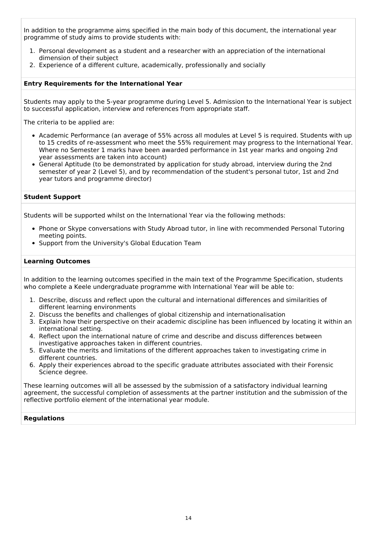In addition to the programme aims specified in the main body of this document, the international year programme of study aims to provide students with:

- 1. Personal development as a student and a researcher with an appreciation of the international dimension of their subject
- 2. Experience of a different culture, academically, professionally and socially

#### **Entry Requirements for the International Year**

Students may apply to the 5-year programme during Level 5. Admission to the International Year is subject to successful application, interview and references from appropriate staff.

The criteria to be applied are:

- Academic Performance (an average of 55% across all modules at Level 5 is required. Students with up to 15 credits of re-assessment who meet the 55% requirement may progress to the International Year. Where no Semester 1 marks have been awarded performance in 1st year marks and ongoing 2nd year assessments are taken into account)
- General Aptitude (to be demonstrated by application for study abroad, interview during the 2nd semester of year 2 (Level 5), and by recommendation of the student's personal tutor, 1st and 2nd year tutors and programme director)

#### **Student Support**

Students will be supported whilst on the International Year via the following methods:

- Phone or Skype conversations with Study Abroad tutor, in line with recommended Personal Tutoring meeting points.
- Support from the University's Global Education Team

#### **Learning Outcomes**

In addition to the learning outcomes specified in the main text of the Programme Specification, students who complete a Keele undergraduate programme with International Year will be able to:

- 1. Describe, discuss and reflect upon the cultural and international differences and similarities of different learning environments
- 2. Discuss the benefits and challenges of global citizenship and internationalisation
- 3. Explain how their perspective on their academic discipline has been influenced by locating it within an international setting.
- 4. Reflect upon the international nature of crime and describe and discuss differences between investigative approaches taken in different countries.
- 5. Evaluate the merits and limitations of the different approaches taken to investigating crime in different countries.
- 6. Apply their experiences abroad to the specific graduate attributes associated with their Forensic Science degree.

These learning outcomes will all be assessed by the submission of a satisfactory individual learning agreement, the successful completion of assessments at the partner institution and the submission of the reflective portfolio element of the international year module.

#### **Regulations**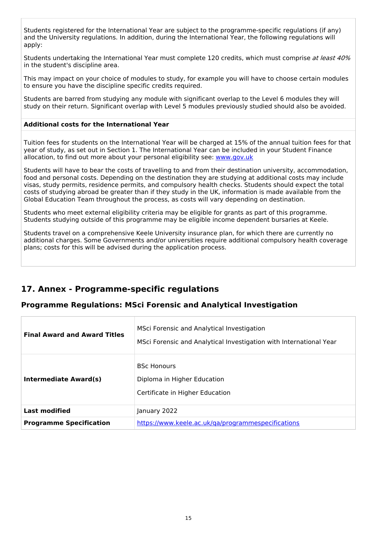Students registered for the International Year are subject to the programme-specific regulations (if any) and the University regulations. In addition, during the International Year, the following regulations will apply:

Students undertaking the International Year must complete 120 credits, which must comprise at least 40% in the student's discipline area.

This may impact on your choice of modules to study, for example you will have to choose certain modules to ensure you have the discipline specific credits required.

Students are barred from studying any module with significant overlap to the Level 6 modules they will study on their return. Significant overlap with Level 5 modules previously studied should also be avoided.

#### **Additional costs for the International Year**

Tuition fees for students on the International Year will be charged at 15% of the annual tuition fees for that year of study, as set out in Section 1. The International Year can be included in your Student Finance allocation, to find out more about your personal eligibility see: [www.gov.uk](http://www.gov.uk/)

Students will have to bear the costs of travelling to and from their destination university, accommodation, food and personal costs. Depending on the destination they are studying at additional costs may include visas, study permits, residence permits, and compulsory health checks. Students should expect the total costs of studying abroad be greater than if they study in the UK, information is made available from the Global Education Team throughout the process, as costs will vary depending on destination.

Students who meet external eligibility criteria may be eligible for grants as part of this programme. Students studying outside of this programme may be eligible income dependent bursaries at Keele.

Students travel on a comprehensive Keele University insurance plan, for which there are currently no additional charges. Some Governments and/or universities require additional compulsory health coverage plans; costs for this will be advised during the application process.

## **17. Annex - Programme-specific regulations**

#### **Programme Regulations: MSci Forensic and Analytical Investigation**

| <b>Final Award and Award Titles</b> | MSci Forensic and Analytical Investigation<br>MSci Forensic and Analytical Investigation with International Year |  |
|-------------------------------------|------------------------------------------------------------------------------------------------------------------|--|
| <b>Intermediate Award(s)</b>        | <b>BSC Honours</b><br>Diploma in Higher Education<br>Certificate in Higher Education                             |  |
| <b>Last modified</b>                | January 2022                                                                                                     |  |
| <b>Programme Specification</b>      | https://www.keele.ac.uk/ga/programmespecifications                                                               |  |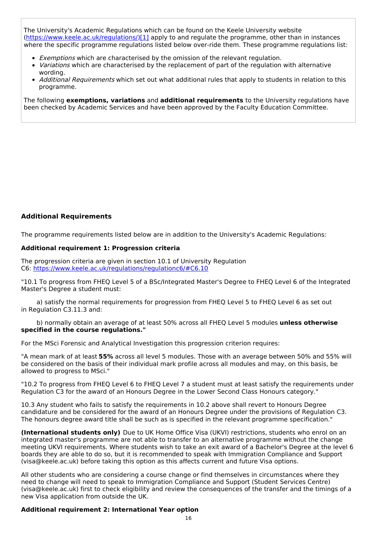The University's Academic Regulations which can be found on the Keele University website [\(https://www.keele.ac.uk/regulations/](https://www.keele.ac.uk/regulations/)[\)\[1\]](https://scims-api.keele.ac.uk/#_ftn1) apply to and regulate the programme, other than in instances where the specific programme regulations listed below over-ride them. These programme regulations list:

- **Exemptions which are characterised by the omission of the relevant regulation.**
- Variations which are characterised by the replacement of part of the regulation with alternative wording.
- Additional Requirements which set out what additional rules that apply to students in relation to this programme.

The following **exemptions, variations** and **additional requirements** to the University regulations have been checked by Academic Services and have been approved by the Faculty Education Committee.

#### **Additional Requirements**

The programme requirements listed below are in addition to the University's Academic Regulations:

#### **Additional requirement 1: Progression criteria**

The progression criteria are given in section 10.1 of University Regulation C6: <https://www.keele.ac.uk/regulations/regulationc6/#C6.10>

"10.1 To progress from FHEQ Level 5 of a BSc/Integrated Master's Degree to FHEQ Level 6 of the Integrated Master's Degree a student must:

a) satisfy the normal requirements for progression from FHEQ Level 5 to FHEQ Level 6 as set out in Regulation C3.11.3 and:

b) normally obtain an average of at least 50% across all FHEQ Level 5 modules **unless otherwise specified in the course regulations."**

For the MSci Forensic and Analytical Investigation this progression criterion requires:

"A mean mark of at least **55%** across all level 5 modules. Those with an average between 50% and 55% will be considered on the basis of their individual mark profile across all modules and may, on this basis, be allowed to progress to MSci."

"10.2 To progress from FHEQ Level 6 to FHEQ Level 7 a student must at least satisfy the requirements under Regulation C3 for the award of an Honours Degree in the Lower Second Class Honours category."

10.3 Any student who fails to satisfy the requirements in 10.2 above shall revert to Honours Degree candidature and be considered for the award of an Honours Degree under the provisions of Regulation C3. The honours degree award title shall be such as is specified in the relevant programme specification."

**(International students only)** Due to UK Home Office Visa (UKVI) restrictions, students who enrol on an integrated master's programme are not able to transfer to an alternative programme without the change meeting UKVI requirements. Where students wish to take an exit award of a Bachelor's Degree at the level 6 boards they are able to do so, but it is recommended to speak with Immigration Compliance and Support (visa@keele.ac.uk) before taking this option as this affects current and future Visa options.

All other students who are considering a course change or find themselves in circumstances where they need to change will need to speak to Immigration Compliance and Support (Student Services Centre) (visa@keele.ac.uk) first to check eligibility and review the consequences of the transfer and the timings of a new Visa application from outside the UK.

#### **Additional requirement 2: International Year option**